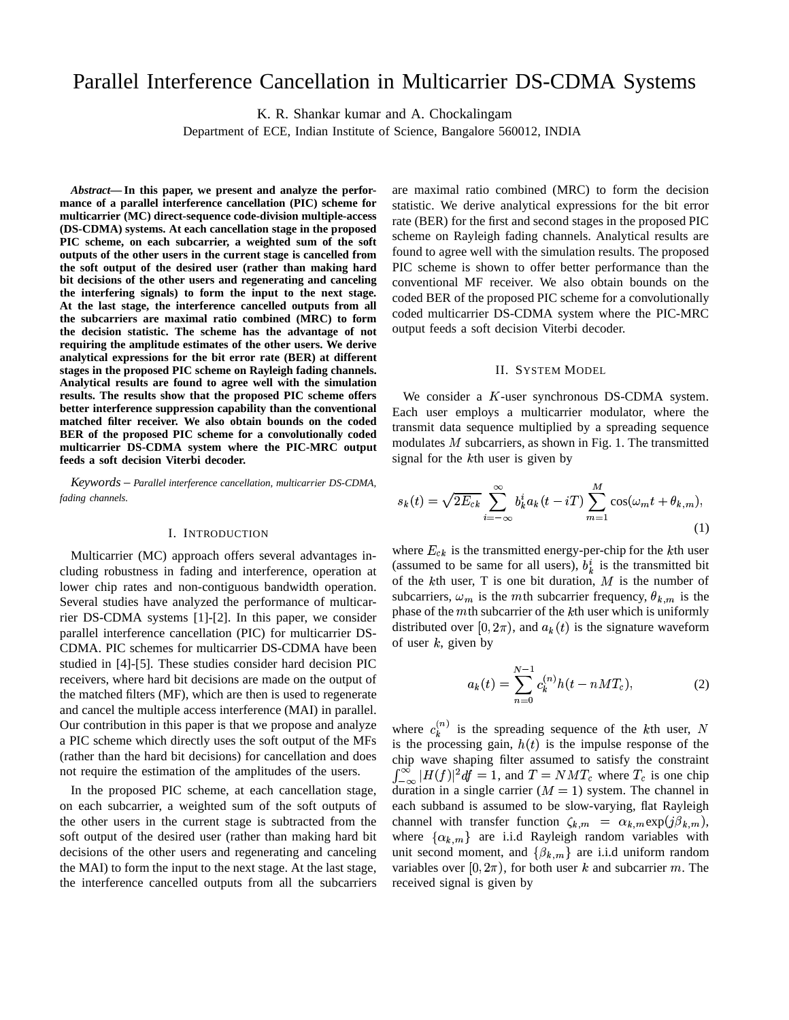# Parallel Interference Cancellation in Multicarrier DS-CDMA Systems

K. R. Shankar kumar and A. Chockalingam

Department of ECE, Indian Institute of Science, Bangalore 560012, INDIA

*Abstract***— In this paper, we present and analyze the performance of a parallel interference cancellation (PIC) scheme for multicarrier (MC) direct-sequence code-division multiple-access (DS-CDMA) systems. At each cancellation stage in the proposed PIC scheme, on each subcarrier, a weighted sum of the soft outputs of the other users in the current stage is cancelled from the soft output of the desired user (rather than making hard bit decisions of the other users and regenerating and canceling the interfering signals) to form the input to the next stage. At the last stage, the interference cancelled outputs from all the subcarriers are maximal ratio combined (MRC) to form the decision statistic. The scheme has the advantage of not requiring the amplitude estimates of the other users. We derive analytical expressions for the bit error rate (BER) at different stages in the proposed PIC scheme on Rayleigh fading channels. Analytical results are found to agree well with the simulation results. The results show that the proposed PIC scheme offers better interference suppression capability than the conventional matched filter receiver. We also obtain bounds on the coded BER of the proposed PIC scheme for a convolutionally coded multicarrier DS-CDMA system where the PIC-MRC output feeds a soft decision Viterbi decoder.**

*Keywords – Parallel interference cancellation, multicarrier DS-CDMA, fading channels.*

#### I. INTRODUCTION

Multicarrier (MC) approach offers several advantages including robustness in fading and interference, operation at lower chip rates and non-contiguous bandwidth operation. Several studies have analyzed the performance of multicarrier DS-CDMA systems [1]-[2]. In this paper, we consider parallel interference cancellation (PIC) for multicarrier DS-CDMA. PIC schemes for multicarrier DS-CDMA have been studied in [4]-[5]. These studies consider hard decision PIC receivers, where hard bit decisions are made on the output of the matched filters (MF), which are then is used to regenerate and cancel the multiple access interference (MAI) in parallel. Our contribution in this paper is that we propose and analyze a PIC scheme which directly uses the soft output of the MFs (rather than the hard bit decisions) for cancellation and does not require the estimation of the amplitudes of the users.

In the proposed PIC scheme, at each cancellation stage, on each subcarrier, a weighted sum of the soft outputs of the other users in the current stage is subtracted from the soft output of the desired user (rather than making hard bit decisions of the other users and regenerating and canceling the MAI) to form the input to the next stage. At the last stage, the interference cancelled outputs from all the subcarriers

are maximal ratio combined (MRC) to form the decision statistic. We derive analytical expressions for the bit error rate (BER) for the first and second stages in the proposed PIC scheme on Rayleigh fading channels. Analytical results are found to agree well with the simulation results. The proposed PIC scheme is shown to offer better performance than the conventional MF receiver. We also obtain bounds on the coded BER of the proposed PIC scheme for a convolutionally coded multicarrier DS-CDMA system where the PIC-MRC output feeds a soft decision Viterbi decoder.

#### II. SYSTEM MODEL

We consider a  $K$ -user synchronous DS-CDMA system. Each user employs a multicarrier modulator, where the transmit data sequence multiplied by a spreading sequence modulates  $M$  subcarriers, as shown in Fig. 1. The transmitted signal for the  $k$ th user is given by

$$
s_k(t) = \sqrt{2E_{ck}} \sum_{i=-\infty}^{\infty} b_k^i a_k(t - iT) \sum_{m=1}^M \cos(\omega_m t + \theta_{k,m}),
$$
\n(1)

where  $E_{ck}$  is the transmitted energy-per-chip for the  $k$ th user (assumed to be same for all users),  $b_k^i$  is the transmitted bit of the  $k$ th user, T is one bit duration, M is the number of subcarriers,  $\omega_m$  is the *m*th subcarrier frequency,  $\theta_{k,m}$  is the phase of the  $m$ th subcarrier of the  $k$ th user which is uniformly distributed over  $[0, 2\pi)$ , and  $a_k(t)$  is the signature waveform of user  $k$ , given by

$$
a_k(t) = \sum_{n=0}^{N-1} c_k^{(n)} h(t - nMT_c), \qquad (2)
$$

where  $c_k^{(n)}$  is the spreading sequence of the kth user, N is the processing gain,  $h(t)$  is the impulse response of the chip wave shaping filter assumed to satisfy the constraint  $\int_{-\infty}^{\infty} |H(f)|^2 df = 1$ duration in a single carrier  $(M = 1)$  system. The channel in  $|H(f)|^2 df = 1$ , and  $T = NMT_c$  where  $T_c$  is one chip each subband is assumed to be slow-varying, flat Rayleigh channel with transfer function  $\zeta_{k,m} = \alpha_{k,m} \exp(j\beta_{k,m}),$ where  $\{\alpha_{k,m}\}\$  are i.i.d Rayleigh random variables with unit second moment, and  $\{\beta_{k,m}\}\$ are i.i.d uniform random variables over  $[0, 2\pi)$ , for both user k and subcarrier m. The received signal is given by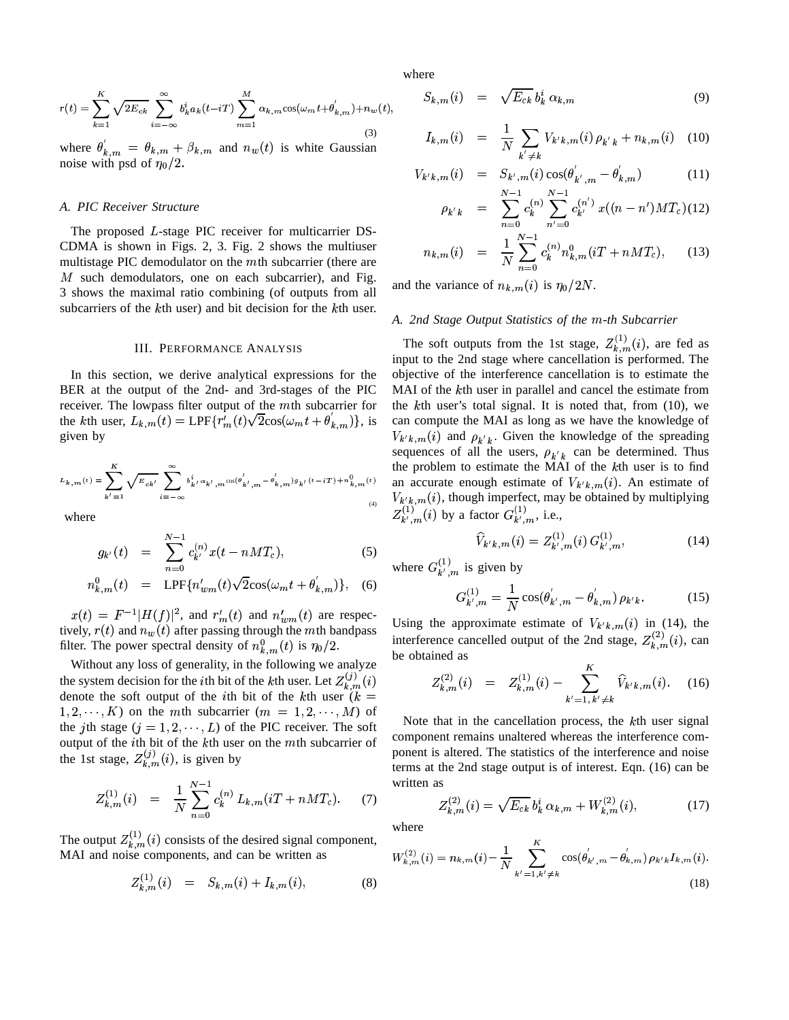$$
r(t) = \sum_{k=1}^{K} \sqrt{2E_{ck}} \sum_{i=-\infty}^{\infty} b_k^i a_k (t - iT) \sum_{m=1}^{M} \alpha_{k,m} \cos(\omega_m t + \theta'_{k,m}) + n_w(t),
$$
\n(3)

where  $\theta_{k,m} = \theta_{k,m} + \beta_{k,m}$  and  $n_w(t)$  is white Gaussian noise with psd of  $\eta_0/2$ .

#### *A. PIC Receiver Structure*

The proposed  $L$ -stage PIC receiver for multicarrier DS-CDMA is shown in Figs. 2, 3. Fig. 2 shows the multiuser multistage PIC demodulator on the  $m$ th subcarrier (there are  $M$  such demodulators, one on each subcarrier), and Fig. 3 shows the maximal ratio combining (of outputs from all subcarriers of the  $k$ th user) and bit decision for the  $k$ th user.

#### III. PERFORMANCE ANALYSIS

In this section, we derive analytical expressions for the BER at the output of the 2nd- and 3rd-stages of the PIC receiver. The lowpass filter output of the  $m$ th subcarrier for the kth user,  $L_{k,m}(t) = \text{LPF}\lbrace r'_{m}(t) \sqrt{2\cos(\omega_{m}t + \theta_{k,m})}\rbrace$ , is can c given by

$$
L_{k,m}(t) = \sum_{k'=1}^{K} \sqrt{E_{ck'}} \sum_{i=-\infty}^{\infty} b_{k'}^{i} \alpha_{k',m} \cos(\theta'_{k',m} - \theta'_{k,m}) g_{k'}(t-iT) + n_{k,m}^{0}(t)
$$
\n(4)

where

$$
g_{k'}(t) = \sum_{n=0}^{N-1} c_{k'}^{(n)} x(t - nMT_c), \qquad (5)
$$

$$
n_{k,m}^{0}(t) = \text{LPF}\{n_{wm}'(t)\sqrt{2}\cos(\omega_{m}t + \theta_{k,m}')\}, \quad (6)
$$

tively,  $r(t)$  and  $n_w(t)$  after passing through the mth bandpass  $\mathcal{L}(t) = F^{-1} |H(f)|^2$ , and  $r'_m(t)$  and  $n'_{wm}(t)$  are respecfilter. The power spectral density of  $n_{k,m}^0(t)$  is  $\eta_0/2$ .

Without any loss of generality, in the following we analyze the system decision for the *i*th bit of the *k*th user. Let  $Z_{k,m}^{(j)}(i)$ denote the soft output of the  $i$ th bit of the  $k$ th user (  $1, 2, \dots, K$  on the mth subcarrier  $(m = 1, 2, \dots, M)$  of the jth stage  $(j = 1, 2, \dots, L)$  of the PIC receiver. The soft output of the  $i$ th bit of the  $k$ th user on the  $m$ th subcarrier of the 1st stage,  $Z_{k,m}^{(j)}(i)$ , is given by

$$
Z_{k,m}^{(1)}(i) = \frac{1}{N} \sum_{n=0}^{N-1} c_k^{(n)} L_{k,m}(iT + nMT_c). \tag{7}
$$

The output  $Z_{k,m}^{(1)}(i)$  consists of the desired signal component, MAI and noise components, and can be written as

$$
Z_{k,m}^{(1)}(i) = S_{k,m}(i) + I_{k,m}(i), \qquad (8)
$$

where

$$
S_{k,m}(i) = \sqrt{E_{ck}} b_k^i \alpha_{k,m} \tag{9}
$$

$$
I_{k,m}(i) = \frac{1}{N} \sum_{k' \neq k} V_{k'k,m}(i) \rho_{k'k} + n_{k,m}(i) \quad (10)
$$

$$
V_{k'k,m}(i) = S_{k',m}(i) \cos(\theta'_{k',m} - \theta'_{k,m})
$$
 (11)

$$
\rho_{k'k} = \sum_{n=0}^{N-1} c_k^{(n)} \sum_{n'=0}^{N-1} c_{k'}^{(n')} x((n-n')MT_c)(12)
$$

$$
n_{k,m}(i) = \frac{1}{N} \sum_{n=0}^{N} c_k^{(n)} n_{k,m}^0 (iT + nMT_c), \qquad (13)
$$

and the variance of  $n_{k,m}(i)$  is  $\eta_0/2N$ .

## $A.$  *2nd Stage Output Statistics of the m-th Subcarrier*

 $U^{(t-iT)+n}$ <sub>k,m</sub> $(t)$  an accurate enough estimate of  $V_{k'k,m}(i)$ . An estimate of The soft outputs from the 1st stage,  $Z_{k,m}^{(1)}(i)$ , are fed as input to the 2nd stage where cancellation is performed. The objective of the interference cancellation is to estimate the MAI of the  $k$ th user in parallel and cancel the estimate from the  $k$ th user's total signal. It is noted that, from  $(10)$ , we can compute the MAI as long as we have the knowledge of  $V_{k'k,m}(i)$  and  $\rho_{k'k}$ . Given the knowledge of the spreading sequences of all the users,  $\rho_{k'k}$  can be determined. Thus the problem to estimate the MAI of the  $k$ th user is to find  $V_{k'k,m}(i)$ , though imperfect, may be obtained by multiplying  $Z_{k',m}^{(1)}(i)$  by a factor  $G_{k',m}^{(1)}$ , i.e.,

**\*\*\*\*** 

$$
\widehat{V}_{k'k,m}(i) = Z_{k',m}^{(1)}(i) G_{k',m}^{(1)}, \qquad (14)
$$

where  $G_{k',m}^{(1)}$  is given by \*

**\*\*\*\*** 

$$
G_{k',m}^{(1)} = \frac{1}{N} \cos(\theta_{k',m}' - \theta_{k,m}') \rho_{k'k}.
$$
 (15)

product the contract of the contract of the contract of the contract of the contract of the contract of the contract of the contract of the contract of the contract of the contract of the contract of the contract of the co

Using the approximate estimate of  $V_{k'k,m}(i)$  in (14), the interference cancelled output of the 2nd stage,  $Z_{k,m}^{(2)}(i)$ , can be obtained as

$$
Z_{k,m}^{(2)}(i) = Z_{k,m}^{(1)}(i) - \sum_{k'=1, k'\neq k}^{K} \widehat{V}_{k'k,m}(i). \quad (16)
$$

Note that in the cancellation process, the  $k$ th user signal component remains unaltered whereas the interference component is altered. The statistics of the interference and noise terms at the 2nd stage output is of interest. Eqn. (16) can be written as

$$
Z_{k,m}^{(2)}(i) = \sqrt{E_{ck}} b_k^i \, \alpha_{k,m} + W_{k,m}^{(2)}(i), \tag{17}
$$

where

$$
W_{k,m}^{(2)}(i) = n_{k,m}(i) - \frac{1}{N} \sum_{k'=1, k'\neq k}^{K} \cos(\theta'_{k',m} - \theta'_{k,m}) \, \rho_{k'k} I_{k,m}(i).
$$
\n(18)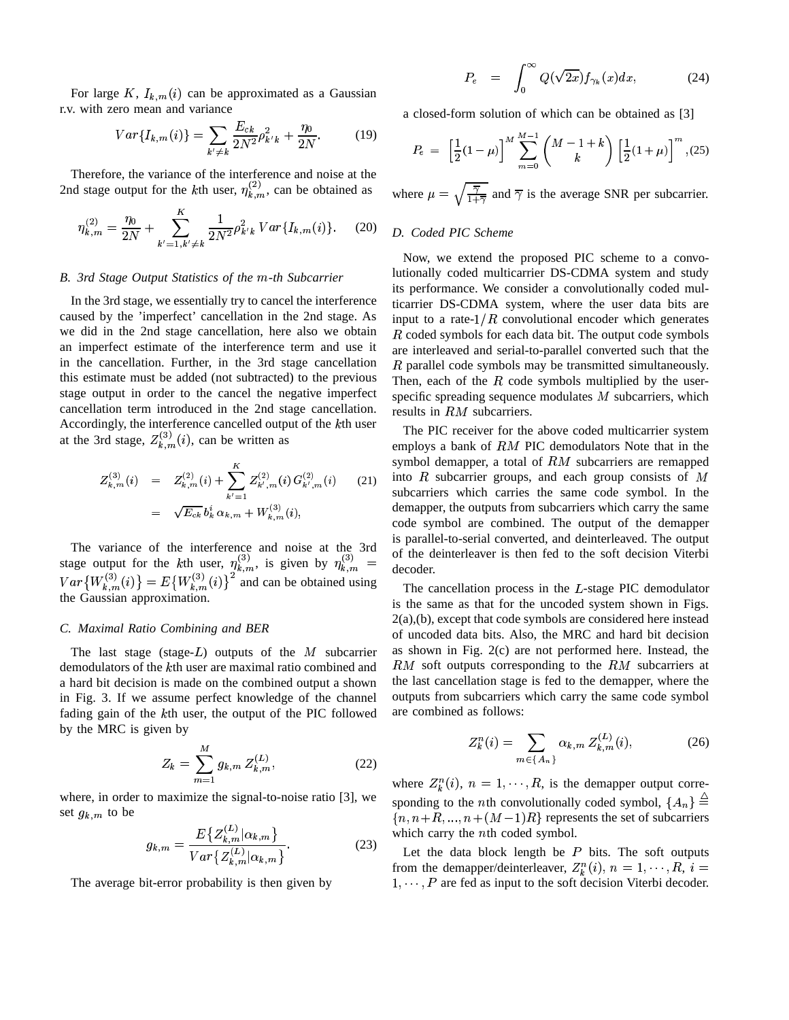For large K,  $I_{k,m}(i)$  can be approximated as a Gaussian r.v. with zero mean and variance

$$
Var\{I_{k,m}(i)\} = \sum_{k' \neq k} \frac{E_{ck}}{2N^2} \rho_{k'k}^2 + \frac{\eta_0}{2N}.
$$
 (19)

Therefore, the variance of the interference and noise at the 2nd stage output for the *k*th user,  $\eta_{k,m}^{(2)}$ , can be obtained as

produced a series of the contract of the contract of the contract of the contract of the contract of the contract of the contract of the contract of the contract of the contract of the contract of the contract of the contr

$$
\eta_{k,m}^{(2)} = \frac{\eta_0}{2N} + \sum_{k'=1, k'\neq k}^{K} \frac{1}{2N^2} \rho_{k'k}^2 Var\{I_{k,m}(i)\}.
$$
 (20)

#### *B. 3rd Stage Output Statistics of the m*-*th Subcarrier*

In the 3rd stage, we essentially try to cancel the interference caused by the 'imperfect' cancellation in the 2nd stage. As we did in the 2nd stage cancellation, here also we obtain an imperfect estimate of the interference term and use it in the cancellation. Further, in the 3rd stage cancellation this estimate must be added (not subtracted) to the previous stage output in order to the cancel the negative imperfect cancellation term introduced in the 2nd stage cancellation. Accordingly, the interference cancelled output of the  $k$ th user at the 3rd stage,  $Z_{k,m}^{(3)}(i)$ , can be written as

$$
Z_{k,m}^{(3)}(i) = Z_{k,m}^{(2)}(i) + \sum_{k'=1}^{K} Z_{k',m}^{(2)}(i) G_{k',m}^{(2)}(i)
$$
 (21)  

$$
= \sqrt{E_{ck}} b_k^i \alpha_{k,m} + W_{k,m}^{(3)}(i),
$$

The variance of the interference and noise at the 3rd stage output for the kth user,  $\eta_{k,m}^{(3)}$ , is given by  $\eta_{k,m}^{(3)} =$  $Var\left\{W_{k,m}^{(3)}(i)\right\} = E\left\{W_{k,m}^{(3)}(i)\right\}^2$  and can be obtained using the Gaussian approximation.

#### *C. Maximal Ratio Combining and BER*

The last stage (stage- $L$ ) outputs of the  $M$  subcarrier demodulators of the  $k$ th user are maximal ratio combined and a hard bit decision is made on the combined output a shown in Fig. 3. If we assume perfect knowledge of the channel fading gain of the kth user, the output of the PIC followed by the MRC is given by

$$
Z_k = \sum_{m=1}^{M} g_{k,m} Z_{k,m}^{(L)},
$$
\n(22)

where, in order to maximize the signal-to-noise ratio [3], we set  $g_{k,m}$  to be

$$
g_{k,m} = \frac{E\{Z_{k,m}^{(L)}|\alpha_{k,m}\}}{Var\{Z_{k,m}^{(L)}|\alpha_{k,m}\}}.
$$
 (23)

The average bit-error probability is then given by

$$
P_e = \int_0^\infty Q(\sqrt{2x}) f_{\gamma_k}(x) dx, \tag{24}
$$

a closed-form solution of which can be obtained as [3]

$$
P_e = \left[\frac{1}{2}(1-\mu)\right]^M \sum_{m=0}^{M-1} {M-1+k \choose k} \left[\frac{1}{2}(1+\mu)\right]^m, (25)
$$

where  $\mu = \sqrt{\frac{7}{1+\pi}}$  and  $\overline{\gamma}$  is the average SNR per subcarrier.

### *D. Coded PIC Scheme*

Now, we extend the proposed PIC scheme to a convolutionally coded multicarrier DS-CDMA system and study its performance. We consider a convolutionally coded multicarrier DS-CDMA system, where the user data bits are input to a rate- $1/R$  convolutional encoder which generates  $R$  coded symbols for each data bit. The output code symbols are interleaved and serial-to-parallel converted such that the <sup>4</sup> parallel code symbols may be transmitted simultaneously. Then, each of the  $R$  code symbols multiplied by the userspecific spreading sequence modulates  $M$  subcarriers, which results in  $RM$  subcarriers.

into  $R$  subcarrier groups, and each group consists of  $M$ = decoder. The PIC receiver for the above coded multicarrier system employs a bank of  $RM$  PIC demodulators Note that in the symbol demapper, a total of  $RM$  subcarriers are remapped subcarriers which carries the same code symbol. In the demapper, the outputs from subcarriers which carry the same code symbol are combined. The output of the demapper is parallel-to-serial converted, and deinterleaved. The output of the deinterleaver is then fed to the soft decision Viterbi

The cancellation process in the  $L$ -stage PIC demodulator is the same as that for the uncoded system shown in Figs. 2(a),(b), except that code symbols are considered here instead of uncoded data bits. Also, the MRC and hard bit decision as shown in Fig. 2(c) are not performed here. Instead, the  $RM$  soft outputs corresponding to the  $RM$  subcarriers at the last cancellation stage is fed to the demapper, where the outputs from subcarriers which carry the same code symbol are combined as follows:

$$
Z_k^n(i) = \sum_{m \in \{A_n\}} \alpha_{k,m} \, Z_{k,m}^{(L)}(i),\tag{26}
$$

where  $Z_k^n(i)$ ,  $n = 1, \dots, R$ , is the demapper output corresponding to the *n*th convolutionally coded symbol,  ${A_n} \equiv$  ${n, n+R, ..., n+(M-1)R}$  represents the set of subcarriers which carry the  $nth$  coded symbol.

Let the data block length be  $P$  bits. The soft outputs from the demapper/deinterleaver,  $Z_k^n(i)$ ,  $n = 1, \dots, R$ ,  $i =$  $1, \dots, P$  are fed as input to the soft decision Viterbi decoder.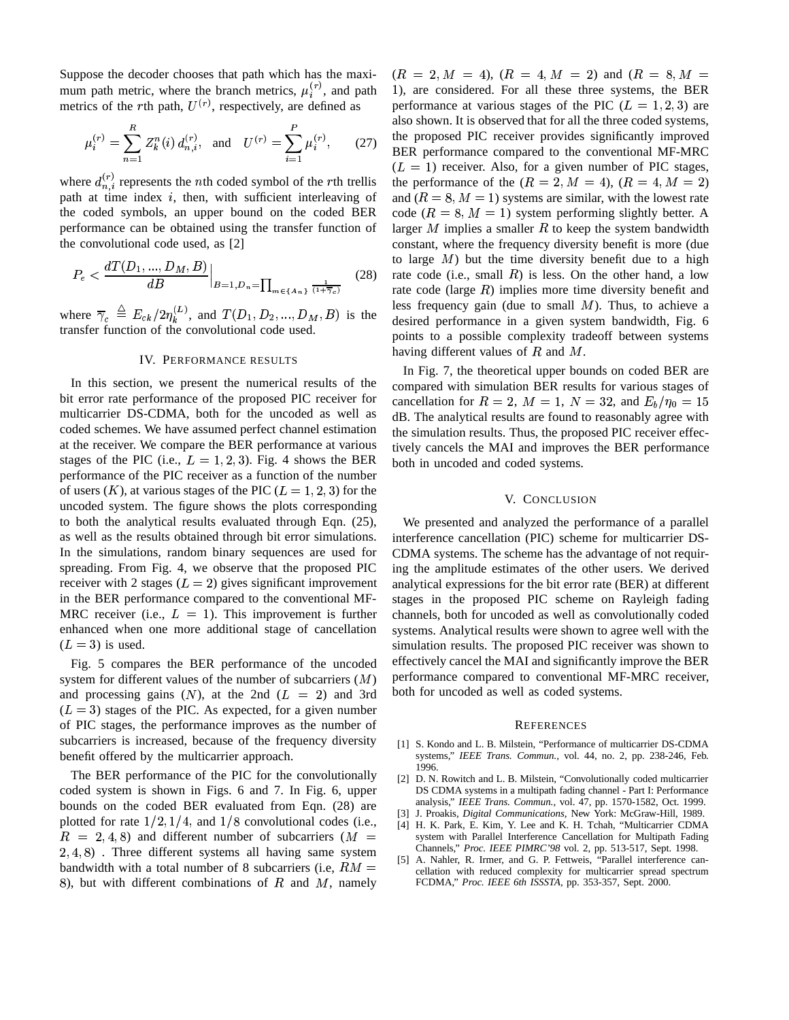Suppose the decoder chooses that path which has the maximum path metric, where the branch metrics,  $\mu_i^{(r)}$ , and path metrics of the *r*th path,  $U^{(r)}$ , respectively, are defined as

$$
\mu_i^{(r)} = \sum_{n=1}^R Z_k^n(i) d_{n,i}^{(r)}, \text{ and } U^{(r)} = \sum_{i=1}^P \mu_i^{(r)}, \qquad (27)
$$

where  $d_{n,i}^{(r)}$  represents the *n*th coded symbol of the *r*th trellis path at time index  $i$ , then, with sufficient interleaving of the coded symbols, an upper bound on the coded BER performance can be obtained using the transfer function of the convolutional code used, as [2]

$$
P_e < \frac{dT(D_1, \dots, D_M, B)}{dB} \Big|_{B=1, D_n = \prod_{m \in \{A_n\}} \frac{1}{(1 + \overline{\gamma}_c)}} \tag{28}
$$

where  $\overline{\gamma}_c \stackrel{\triangle}{=} E_{ck}/2\eta_k^{(L)}$ , and  $T(D_1, D_2, ..., D_M, B)$  is the transfer function of the convolutional code used transfer function of the convolutional code used.

#### IV. PERFORMANCE RESULTS

In this section, we present the numerical results of the bit error rate performance of the proposed PIC receiver for multicarrier DS-CDMA, both for the uncoded as well as coded schemes. We have assumed perfect channel estimation at the receiver. We compare the BER performance at various stages of the PIC (i.e.,  $L = 1, 2, 3$ ). Fig. 4 shows the BER performance of the PIC receiver as a function of the number of users  $(K)$ , at various stages of the PIC  $(L = 1, 2, 3)$  for the uncoded system. The figure shows the plots corresponding to both the analytical results evaluated through Eqn. (25), as well as the results obtained through bit error simulations. In the simulations, random binary sequences are used for spreading. From Fig. 4, we observe that the proposed PIC receiver with 2 stages  $(L = 2)$  gives significant improvement in the BER performance compared to the conventional MF-MRC receiver (i.e.,  $L = 1$ ). This improvement is further enhanced when one more additional stage of cancellation  $(L = 3)$  is used.

Fig. 5 compares the BER performance of the uncoded system for different values of the number of subcarriers  $(M)$ and processing gains  $(N)$ , at the 2nd  $(L = 2)$  and 3rd  $(L = 3)$  stages of the PIC. As expected, for a given number of PIC stages, the performance improves as the number of subcarriers is increased, because of the frequency diversity benefit offered by the multicarrier approach.

The BER performance of the PIC for the convolutionally coded system is shown in Figs. 6 and 7. In Fig. 6, upper bounds on the coded BER evaluated from Eqn. (28) are plotted for rate  $1/2$ ,  $1/4$ , and  $1/8$  convolutional codes (i.e.,  $R = 2, 4, 8$  and different number of subcarriers  $(M =$ system with  $2, 4, 8$ ). Three different systems all having same system bandwidth with a total number of 8 subcarriers (i.e,  $RM =$ 8), but with different combinations of  $R$  and  $M$ , namely

 the proposed PIC receiver provides significantly improved points to a possible complexity tradeoff between systems  $(R = 2, M = 4), (R = 4, M = 2)$  and  $(R = 8, M = 1)$ 1), are considered. For all these three systems, the BER performance at various stages of the PIC  $(L = 1, 2, 3)$  are also shown. It is observed that for all the three coded systems, BER performance compared to the conventional MF-MRC  $(L = 1)$  receiver. Also, for a given number of PIC stages, the performance of the  $(R = 2, M = 4)$ ,  $(R = 4, M = 2)$ and  $(R = 8, M = 1)$  systems are similar, with the lowest rate code ( $R = 8, M = 1$ ) system performing slightly better. A larger  $M$  implies a smaller  $R$  to keep the system bandwidth constant, where the frequency diversity benefit is more (due to large  $M$ ) but the time diversity benefit due to a high rate code (i.e., small  $R$ ) is less. On the other hand, a low rate code (large  $R$ ) implies more time diversity benefit and less frequency gain (due to small  $M$ ). Thus, to achieve a desired performance in a given system bandwidth, Fig. 6 having different values of  $R$  and  $M$ .

In Fig. 7, the theoretical upper bounds on coded BER are compared with simulation BER results for various stages of cancellation for  $R = 2$ ,  $M = 1$ ,  $N = 32$ , and  $E_b / \eta_0 = 15$ dB. The analytical results are found to reasonably agree with the simulation results. Thus, the proposed PIC receiver effectively cancels the MAI and improves the BER performance both in uncoded and coded systems.

#### V. CONCLUSION

We presented and analyzed the performance of a parallel interference cancellation (PIC) scheme for multicarrier DS-CDMA systems. The scheme has the advantage of not requiring the amplitude estimates of the other users. We derived analytical expressions for the bit error rate (BER) at different stages in the proposed PIC scheme on Rayleigh fading channels, both for uncoded as well as convolutionally coded systems. Analytical results were shown to agree well with the simulation results. The proposed PIC receiver was shown to effectively cancel the MAI and significantly improve the BER performance compared to conventional MF-MRC receiver, both for uncoded as well as coded systems.

#### **REFERENCES**

- [1] S. Kondo and L. B. Milstein, "Performance of multicarrier DS-CDMA systems," *IEEE Trans. Commun.,* vol. 44, no. 2, pp. 238-246, Feb. 1996.
- [2] D. N. Rowitch and L. B. Milstein, "Convolutionally coded multicarrier DS CDMA systems in a multipath fading channel - Part I: Performance analysis," *IEEE Trans. Commun.,* vol. 47, pp. 1570-1582, Oct. 1999.
- [3] J. Proakis, *Digital Communications*, New York: McGraw-Hill, 1989.
- [4] H. K. Park, E. Kim, Y. Lee and K. H. Tchah, "Multicarrier CDMA system with Parallel Interference Cancellation for Multipath Fading Channels," *Proc. IEEE PIMRC'98* vol. 2, pp. 513-517, Sept. 1998.
- [5] A. Nahler, R. Irmer, and G. P. Fettweis, "Parallel interference cancellation with reduced complexity for multicarrier spread spectrum FCDMA," *Proc. IEEE 6th ISSSTA,* pp. 353-357, Sept. 2000.